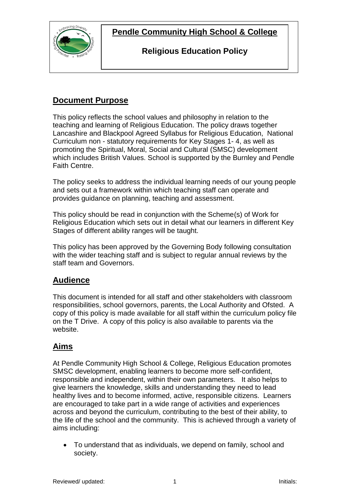



### **Religious Education Policy**

## **Document Purpose**

This policy reflects the school values and philosophy in relation to the teaching and learning of Religious Education. The policy draws together Lancashire and Blackpool Agreed Syllabus for Religious Education, National Curriculum non - statutory requirements for Key Stages 1- 4, as well as promoting the Spiritual, Moral, Social and Cultural (SMSC) development which includes British Values. School is supported by the Burnley and Pendle Faith Centre.

The policy seeks to address the individual learning needs of our young people and sets out a framework within which teaching staff can operate and provides guidance on planning, teaching and assessment.

This policy should be read in conjunction with the Scheme(s) of Work for Religious Education which sets out in detail what our learners in different Key Stages of different ability ranges will be taught.

This policy has been approved by the Governing Body following consultation with the wider teaching staff and is subject to regular annual reviews by the staff team and Governors.

## **Audience**

This document is intended for all staff and other stakeholders with classroom responsibilities, school governors, parents, the Local Authority and Ofsted. A copy of this policy is made available for all staff within the curriculum policy file on the T Drive. A copy of this policy is also available to parents via the website.

## **Aims**

At Pendle Community High School & College, Religious Education promotes SMSC development, enabling learners to become more self-confident, responsible and independent, within their own parameters. It also helps to give learners the knowledge, skills and understanding they need to lead healthy lives and to become informed, active, responsible citizens. Learners are encouraged to take part in a wide range of activities and experiences across and beyond the curriculum, contributing to the best of their ability, to the life of the school and the community. This is achieved through a variety of aims including:

 To understand that as individuals, we depend on family, school and society.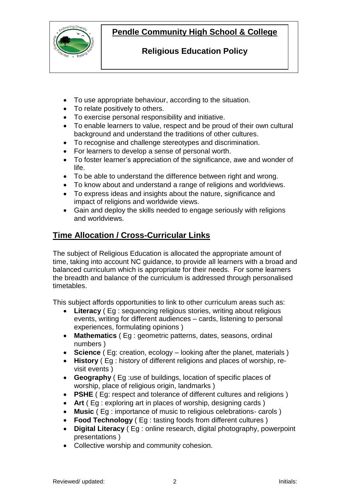

## **Pendle Community High School & College**

## **Religious Education Policy**

- To use appropriate behaviour, according to the situation.
- To relate positively to others.
- To exercise personal responsibility and initiative.
- To enable learners to value, respect and be proud of their own cultural background and understand the traditions of other cultures.
- To recognise and challenge stereotypes and discrimination.
- For learners to develop a sense of personal worth.
- To foster learner's appreciation of the significance, awe and wonder of life.
- To be able to understand the difference between right and wrong.
- To know about and understand a range of religions and worldviews.
- To express ideas and insights about the nature, significance and impact of religions and worldwide views.
- Gain and deploy the skills needed to engage seriously with religions and worldviews.

## **Time Allocation / Cross-Curricular Links**

The subject of Religious Education is allocated the appropriate amount of time, taking into account NC guidance, to provide all learners with a broad and balanced curriculum which is appropriate for their needs. For some learners the breadth and balance of the curriculum is addressed through personalised timetables.

This subject affords opportunities to link to other curriculum areas such as:

- **Literacy** ( Eg : sequencing religious stories, writing about religious events, writing for different audiences – cards, listening to personal experiences, formulating opinions )
- **Mathematics** ( Eg : geometric patterns, dates, seasons, ordinal numbers )
- **Science** ( Eg: creation, ecology looking after the planet, materials )
- **History** ( Eg : history of different religions and places of worship, revisit events )
- **Geography** ( Eg :use of buildings, location of specific places of worship, place of religious origin, landmarks )
- **PSHE** ( Eg: respect and tolerance of different cultures and religions )
- **Art** ( Eg : exploring art in places of worship, designing cards )
- **Music** ( Eg : importance of music to religious celebrations- carols )
- **Food Technology** ( Eg : tasting foods from different cultures )
- **Digital Literacy** ( Eg : online research, digital photography, powerpoint presentations )
- Collective worship and community cohesion.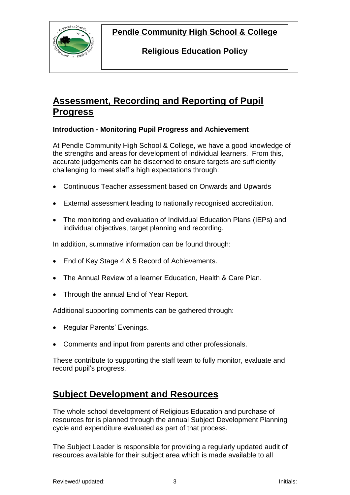**Pendle Community High School & College**



**Religious Education Policy**

# **Assessment, Recording and Reporting of Pupil Progress**

#### **Introduction - Monitoring Pupil Progress and Achievement**

At Pendle Community High School & College, we have a good knowledge of the strengths and areas for development of individual learners. From this, accurate judgements can be discerned to ensure targets are sufficiently challenging to meet staff's high expectations through:

- Continuous Teacher assessment based on Onwards and Upwards
- External assessment leading to nationally recognised accreditation.
- The monitoring and evaluation of Individual Education Plans (IEPs) and individual objectives, target planning and recording.

In addition, summative information can be found through:

- End of Key Stage 4 & 5 Record of Achievements.
- The Annual Review of a learner Education, Health & Care Plan.
- Through the annual End of Year Report.

Additional supporting comments can be gathered through:

- Regular Parents' Evenings.
- Comments and input from parents and other professionals.

These contribute to supporting the staff team to fully monitor, evaluate and record pupil's progress.

## **Subject Development and Resources**

The whole school development of Religious Education and purchase of resources for is planned through the annual Subject Development Planning cycle and expenditure evaluated as part of that process.

The Subject Leader is responsible for providing a regularly updated audit of resources available for their subject area which is made available to all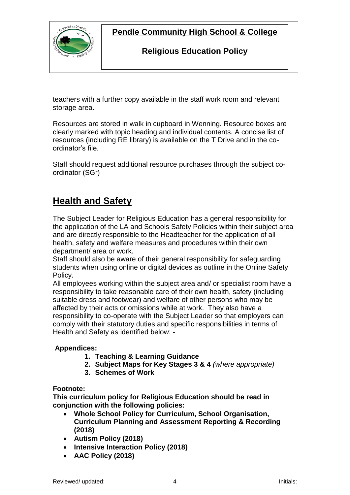

**Pendle Community High School & College**

## **Religious Education Policy**

teachers with a further copy available in the staff work room and relevant storage area.

Resources are stored in walk in cupboard in Wenning. Resource boxes are clearly marked with topic heading and individual contents. A concise list of resources (including RE library) is available on the T Drive and in the coordinator's file.

Staff should request additional resource purchases through the subject coordinator (SGr)

# **Health and Safety**

The Subject Leader for Religious Education has a general responsibility for the application of the LA and Schools Safety Policies within their subject area and are directly responsible to the Headteacher for the application of all health, safety and welfare measures and procedures within their own department/ area or work.

Staff should also be aware of their general responsibility for safeguarding students when using online or digital devices as outline in the Online Safety Policy.

All employees working within the subject area and/ or specialist room have a responsibility to take reasonable care of their own health, safety (including suitable dress and footwear) and welfare of other persons who may be affected by their acts or omissions while at work. They also have a responsibility to co-operate with the Subject Leader so that employers can comply with their statutory duties and specific responsibilities in terms of Health and Safety as identified below: -

#### **Appendices:**

- **1. Teaching & Learning Guidance**
- **2. Subject Maps for Key Stages 3 & 4** *(where appropriate)*
- **3. Schemes of Work**

#### **Footnote:**

**This curriculum policy for Religious Education should be read in conjunction with the following policies:**

- **Whole School Policy for Curriculum, School Organisation, Curriculum Planning and Assessment Reporting & Recording (2018)**
- **Autism Policy (2018)**
- **Intensive Interaction Policy (2018)**
- **AAC Policy (2018)**